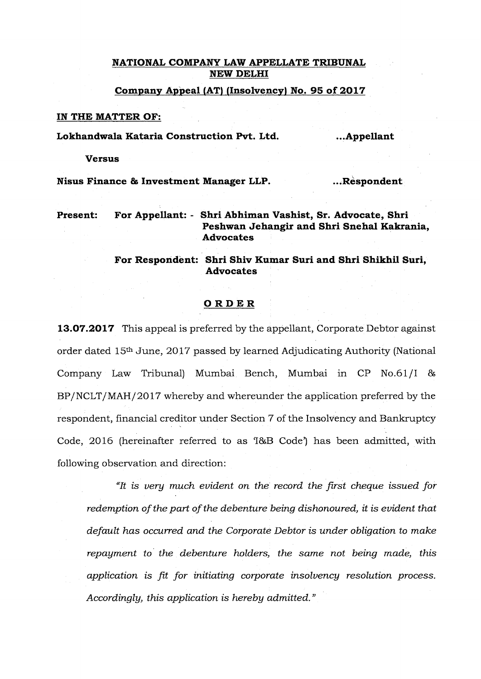## **NATIONAL COMPANY LAW APPELLATE TRIBUNAL NEW DELHI**

**Company Appeal (AT) (Insolvency) No. 95 of 2017** 

#### **IN THE MATTER OF:**

Lokhandwala Kataria Construction Pvt. Ltd. ... Appellant

#### **Versus**

**Nisus Finance & Investment Manager LLP.** 2. The subset of  $\cdot$  Respondent

**Present: For Appellant:** - **Shri Abhiman Vashist, Sr. Advocate, Shri Peshwan Jehangir and Shri Snehal Kakrania, Advocates** 

# **For Respondent: Shri Shiv Kumar Suri and Shri Shikhil Sun, Advocates**

### **ORDER**

**13.07.2017** This appeal is preferred by the appellant, Corporate Debtor against order dated 15th June, 2017 passed by learned Adjudicating Authority (National Company Law Tribunal) Mumbai Bench, Mumbai in CP No.61/I & BP/NCLT/MAH/2017 whereby and whereunder the application preferred by the respondent, financial creditor under Section 7 of the Insolvency and Bankruptcy Code, 2016 (hereinafter referred to as 'I&B Code') has been admitted, with following observation and direction:

*"It is very much evident on the record the first cheque issued for redemption of the part of the debenture being dishonoured, it is evident that default has occurred and the Corporate Debtor is under obligation to make repayment to the debenture holders, the same not being made, this application is fit for initiating corporate insolvency resolution process. Accordingly, this application is hereby admitted."*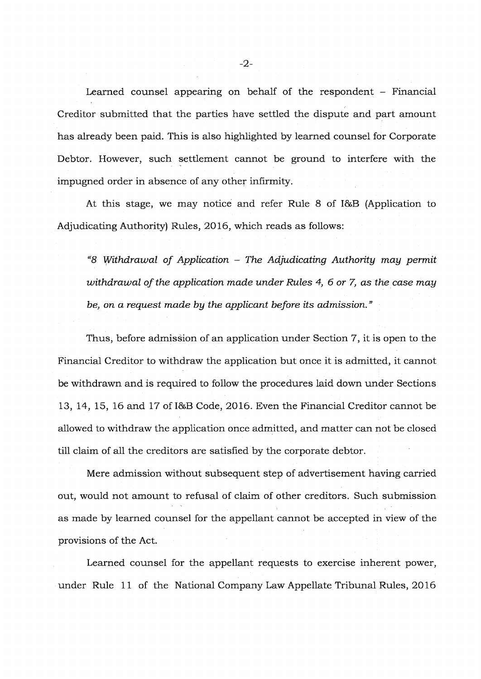Learned counsel appearing on behalf of the respondent – Financial Creditor submitted that the parties have settled the dispute and part amount has already been paid. This is also highlighted by learned counsel for Corporate Debtor. However, such settlement cannot be ground to interfere with the impugned order in absence of any other infirmity.

At this stage, we may notice and refer Rule 8 of I&B (Application to Adjudicating Authority) Rules, 2016, which reads as follows:

*"8 Withdrawal of Application - The Adjudicating Authority may permit withdrawal of the application made under Rules 4, 6 or 7, as the case may be, on a request made by the applicant before its admission."* 

Thus, before admission of an application under Section 7, it is open to the Financial Creditor to withdraw the application but once it is admitted, it cannot be withdrawn and is required to follow the procedures laid down under Sections 13, 14, 15, 16 and 17 of I&B Code, 2016. Even the Financial Creditor cannot be allowed to withdraw the application once admitted, and matter can not be closed till claim of all the creditors are satisfied by the corporate debtor.

Mere admission without subsequent step of advertisement having carried out, would not amount to refusal of claim of other creditors. Such submission as made by learned counsel for the appellant cannot be accepted in view of the provisions of the Act.

Learned counsel for the appellant requests to exercise inherent power, under Rule 11 of the National Company Law Appellate Tribunal Rules, 2016

-2-